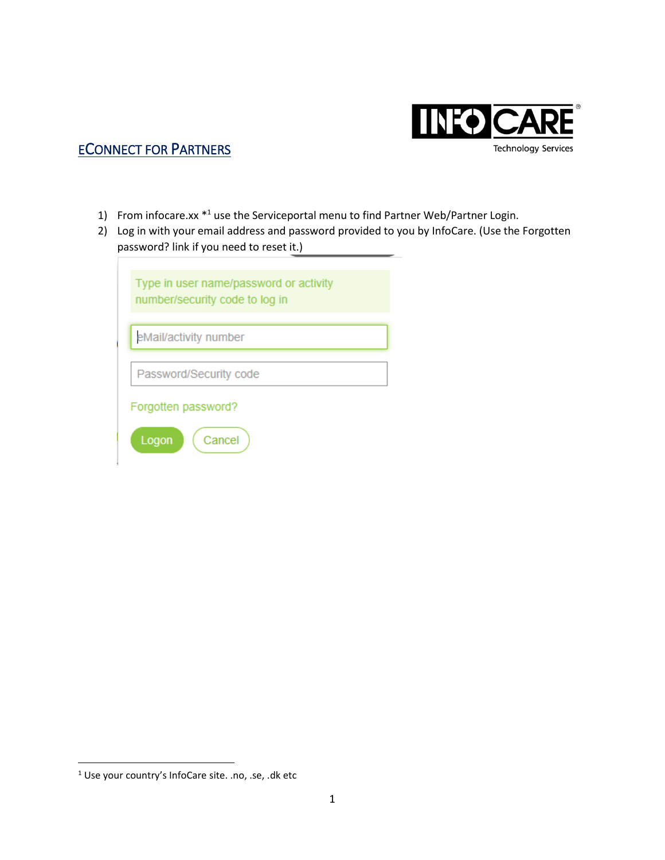

## ECONNECT FOR PARTNERS

- 1) From infocare.xx \*<sup>1</sup> use the Serviceportal menu to find Partner Web/Partner Login.
- 2) Log in with your email address and password provided to you by InfoCare. (Use the Forgotten password? link if you need to reset it.)

| Type in user name/password or activity<br>number/security code to log in |  |  |  |  |  |
|--------------------------------------------------------------------------|--|--|--|--|--|
| eMail/activity number                                                    |  |  |  |  |  |
| Password/Security code                                                   |  |  |  |  |  |
| Forgotten password?                                                      |  |  |  |  |  |
| Cancel<br>Logon                                                          |  |  |  |  |  |

 $\overline{\phantom{a}}$ 

<sup>1</sup> Use your country's InfoCare site. .no, .se, .dk etc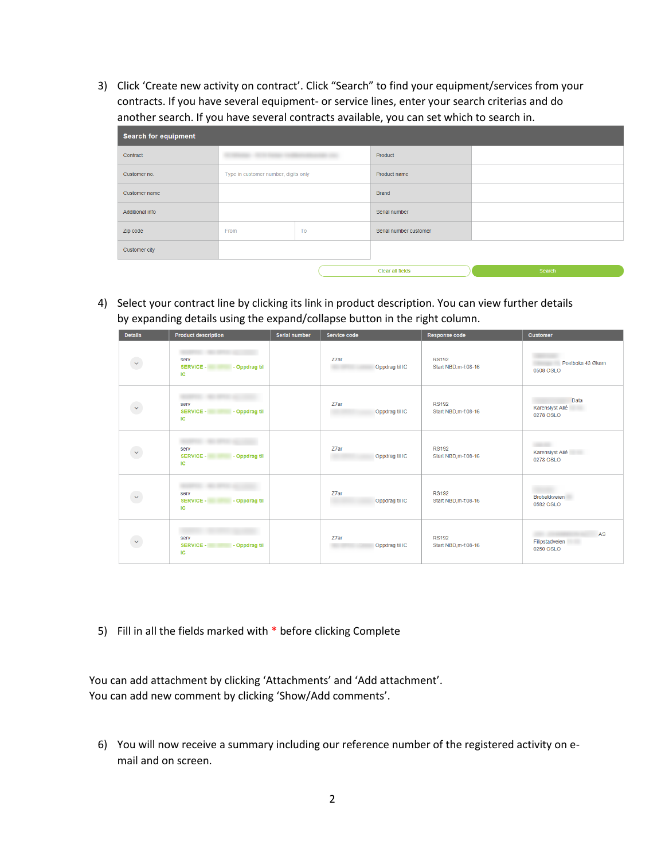3) Click 'Create new activity on contract'. Click "Search" to find your equipment/services from your contracts. If you have several equipment- or service lines, enter your search criterias and do another search. If you have several contracts available, you can set which to search in.

| <b>Search for equipment</b> |                                              |    |                        |        |  |  |  |  |
|-----------------------------|----------------------------------------------|----|------------------------|--------|--|--|--|--|
| Contract                    | AND THE PROPERTY CONSIDERED FOR DESIGNATION. |    | Product                |        |  |  |  |  |
| Customer no.                | Type in customer number, digits only         |    | Product name           |        |  |  |  |  |
| Customer name               |                                              |    | <b>Brand</b>           |        |  |  |  |  |
| <b>Additional info</b>      |                                              |    | Serial number          |        |  |  |  |  |
| Zip code                    | From                                         | To | Serial number customer |        |  |  |  |  |
| Customer city               |                                              |    |                        |        |  |  |  |  |
|                             |                                              |    | Clear all fields       | Search |  |  |  |  |

4) Select your contract line by clicking its link in product description. You can view further details by expanding details using the expand/collapse button in the right column.

| <b>Details</b>    | <b>Product description</b>                      | <b>Serial number</b> | Service code           | Response code                        | <b>Customer</b>                      |
|-------------------|-------------------------------------------------|----------------------|------------------------|--------------------------------------|--------------------------------------|
| $\checkmark$      | serv<br>SERVICE -<br>- Oppdrag til<br>IC        |                      | Z7ar<br>Oppdrag til IC | <b>RS192</b><br>Start NBD, m-f:08-16 | Postboks 43 Økern<br>0508 OSLO       |
| œ<br>$\checkmark$ | serv<br>SERVICE -<br>- Oppdrag til<br>IC        |                      | Z7ar<br>Oppdrag til IC | <b>RS192</b><br>Start NBD, m-f:08-16 | Data<br>Karenslyst Allé<br>0278 OSLO |
| $\downarrow$      | serv<br>SERVICE -<br>- Oppdrag til<br>IC        |                      | Z7ar<br>Oppdrag til IC | <b>RS192</b><br>Start NBD, m-f:08-16 | Karenslyst Allé<br>0278 OSLO         |
| $\checkmark$      | serv<br><b>SERVICE -</b><br>- Oppdrag til<br>IC |                      | Z7ar<br>Oppdrag til IC | <b>RS192</b><br>Start NBD, m-f:08-16 | <b>Brobekkveien</b><br>0582 OSLO     |
| $\checkmark$      | serv<br>SERVICE -<br>- Oppdrag til<br>IC        |                      | Z7ar<br>Oppdrag til IC | <b>RS192</b><br>Start NBD, m-f:08-16 | AS<br>Filipstadveien<br>0250 OSLO    |

5) Fill in all the fields marked with \* before clicking Complete

 You can add attachment by clicking 'Attachments' and 'Add attachment'. You can add new comment by clicking 'Show/Add comments'.

6) You will now receive a summary including our reference number of the registered activity on email and on screen.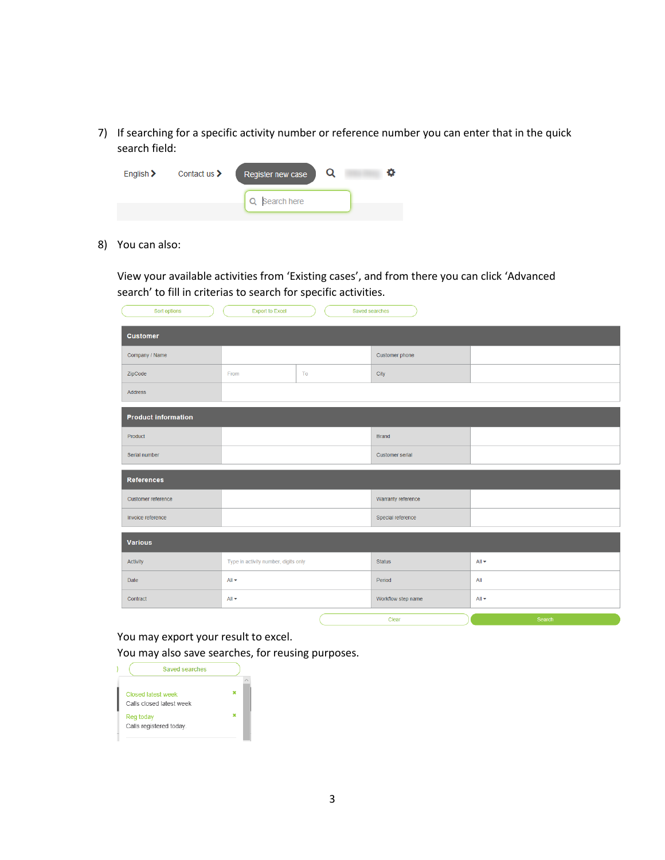7) If searching for a specific activity number or reference number you can enter that in the quick search field:

| Q Search here |  |
|---------------|--|

8) You can also:

View your available activities from 'Existing cases', and from there you can click 'Advanced search' to fill in criterias to search for specific activities.

| Sort options               | <b>Export to Excel</b>               | Saved searches |                    |                          |  |  |  |
|----------------------------|--------------------------------------|----------------|--------------------|--------------------------|--|--|--|
| <b>Customer</b>            |                                      |                |                    |                          |  |  |  |
| Company / Name             |                                      |                | Customer phone     |                          |  |  |  |
| ZipCode                    | From                                 | To             | City               |                          |  |  |  |
| Address                    |                                      |                |                    |                          |  |  |  |
| <b>Product information</b> |                                      |                |                    |                          |  |  |  |
| Product                    |                                      |                | <b>Brand</b>       |                          |  |  |  |
| Serial number              |                                      |                | Customer serial    |                          |  |  |  |
| <b>References</b>          |                                      |                |                    |                          |  |  |  |
| Customer reference         |                                      |                | Warranty reference |                          |  |  |  |
| Invoice reference          |                                      |                | Special reference  |                          |  |  |  |
| <b>Various</b>             |                                      |                |                    |                          |  |  |  |
| Activity                   | Type in activity number, digits only |                | <b>Status</b>      | All $\blacktriangledown$ |  |  |  |
| Date                       | All $\blacktriangledown$             |                | Period             | All                      |  |  |  |
| Contract                   | $All -$                              |                | Workflow step name | $All -$                  |  |  |  |
|                            |                                      |                | $O(1 + 1)$         |                          |  |  |  |

You may export your result to excel. You may also save searches, for reusing purposes.

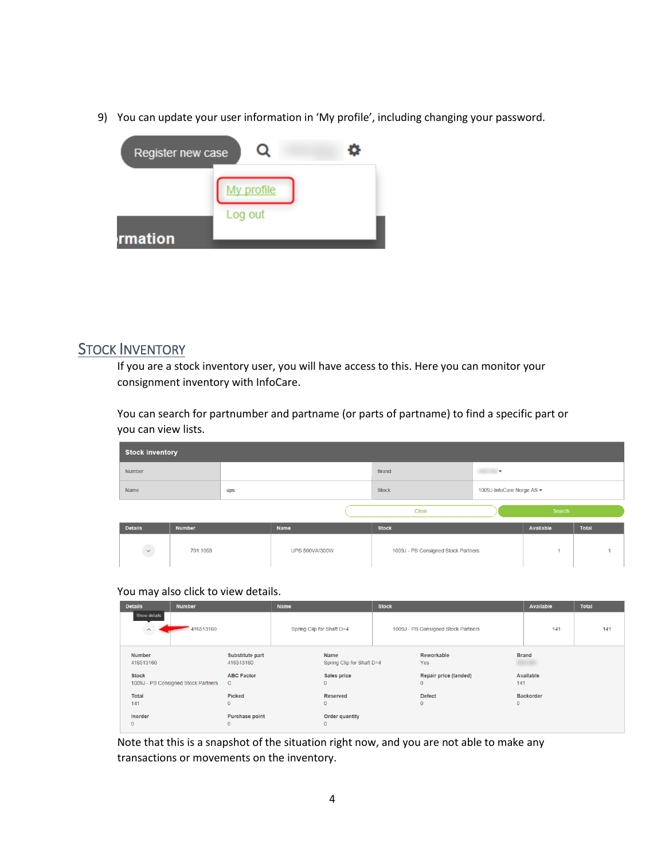9) You can update your user information in 'My profile', including changing your password.

| Register new case |            |  |
|-------------------|------------|--|
|                   | My profile |  |
|                   | Log out    |  |
| rmation           |            |  |

## **STOCK INVENTORY**

If you are a stock inventory user, you will have access to this. Here you can monitor your consignment inventory with InfoCare.

You can search for partnumber and partname (or parts of partname) to find a specific part or you can view lists.

|                | <b>Stock inventory</b> |     |                       |                                     |                           |           |              |  |  |
|----------------|------------------------|-----|-----------------------|-------------------------------------|---------------------------|-----------|--------------|--|--|
| Number         |                        |     |                       | <b>Brand</b>                        | ÷                         |           |              |  |  |
| Name           |                        | ups |                       | <b>Stock</b>                        | 1009J-InfoCare Norge AS ▼ |           |              |  |  |
|                |                        |     |                       | Clear                               |                           | Search    |              |  |  |
| <b>Details</b> | <b>Number</b>          |     | Name                  | <b>Stock</b>                        |                           | Available | <b>Total</b> |  |  |
| $\downarrow$   | 701.1069               |     | <b>UPS 500VA/300W</b> | 1009J - PS Consigned Stock Partners |                           |           |              |  |  |

You may also click to view details.

| <b>Details</b>                        | <b>Number</b>                       |                                       | <b>Name</b>               |                                    | <b>Stock</b> |                                       |              | Available        | <b>Total</b> |
|---------------------------------------|-------------------------------------|---------------------------------------|---------------------------|------------------------------------|--------------|---------------------------------------|--------------|------------------|--------------|
| Show details<br>$\boldsymbol{\wedge}$ | 416513160                           |                                       | Spring Clip for Shaft D=4 |                                    |              | 1009J - PS Consigned Stock Partners   |              | 141              | 141          |
| <b>Number</b><br>416513160            |                                     | <b>Substitute part</b><br>416513160   |                           | Name<br>Spring Clip for Shaft D=4  |              | Reworkable<br>Yes                     |              | <b>Brand</b>     |              |
| <b>Stock</b>                          | 1009J - PS Consigned Stock Partners | <b>ABC Factor</b><br>C                |                           | <b>Sales price</b><br>$\mathbf{0}$ |              | Repair price (landed)<br>$\mathbf{0}$ | 141          | Available        |              |
| Total<br>141                          |                                     | <b>Picked</b><br>$\mathbf 0$          |                           | Reserved<br>$\mathbf{0}$           |              | <b>Defect</b><br>$\mathbf{0}$         | $\mathbf{0}$ | <b>Backorder</b> |              |
| Inorder<br>$\mathbf 0$                |                                     | <b>Purchase point</b><br>$\mathbf{0}$ |                           | Order quantity<br>$\mathbf{0}$     |              |                                       |              |                  |              |

Note that this is a snapshot of the situation right now, and you are not able to make any transactions or movements on the inventory.